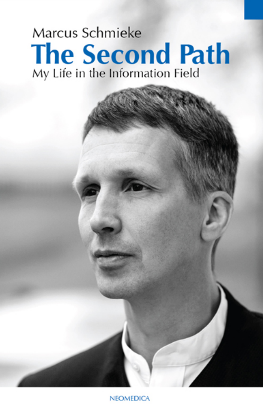## Marcus Schmieke **The Second Path** My Life in the Information Field

**NEOMEDICA**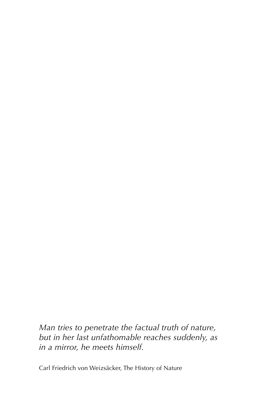*Man tries to penetrate the factual truth of nature, but in her last unfathomable reaches suddenly, as in a mirror, he meets himself.*

Carl Friedrich von Weizsäcker, The History of Nature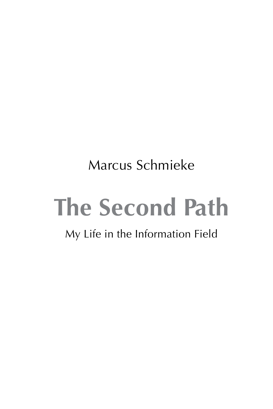## Marcus Schmieke

# **The Second Path**

#### My Life in the Information Field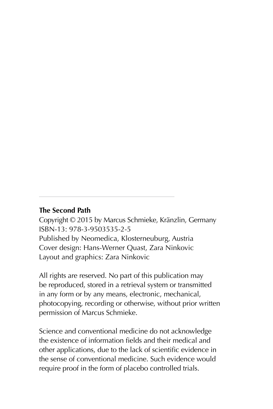#### **The Second Path**

Copyright © 2015 by Marcus Schmieke, Kränzlin, Germany ISBN-13: 978-3-9503535-2-5 Published by Neomedica, Klosterneuburg, Austria Cover design: Hans-Werner Quast, Zara Ninkovic Layout and graphics: Zara Ninkovic

All rights are reserved. No part of this publication may be reproduced, stored in a retrieval system or transmitted in any form or by any means, electronic, mechanical, photocopying, recording or otherwise, without prior written permission of Marcus Schmieke.

Science and conventional medicine do not acknowledge the existence of information fields and their medical and other applications, due to the lack of scientific evidence in the sense of conventional medicine. Such evidence would require proof in the form of placebo controlled trials.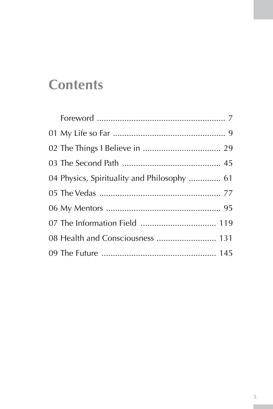## **Contents**

| 04 Physics, Spirituality and Philosophy  61 |  |
|---------------------------------------------|--|
|                                             |  |
|                                             |  |
|                                             |  |
| 08 Health and Consciousness  131            |  |
|                                             |  |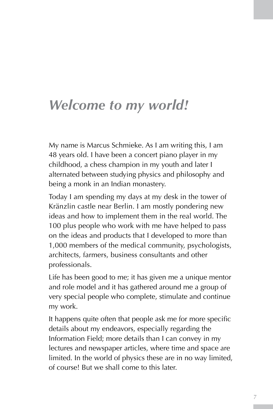#### *Welcome to my world!*

My name is Marcus Schmieke. As I am writing this, I am 48 years old. I have been a concert piano player in my childhood, a chess champion in my youth and later I alternated between studying physics and philosophy and being a monk in an Indian monastery.

Today I am spending my days at my desk in the tower of Kränzlin castle near Berlin. I am mostly pondering new ideas and how to implement them in the real world. The 100 plus people who work with me have helped to pass on the ideas and products that I developed to more than 1,000 members of the medical community, psychologists, architects, farmers, business consultants and other professionals.

Life has been good to me; it has given me a unique mentor and role model and it has gathered around me a group of very special people who complete, stimulate and continue my work.

It happens quite often that people ask me for more specific details about my endeavors, especially regarding the Information Field; more details than I can convey in my lectures and newspaper articles, where time and space are limited. In the world of physics these are in no way limited, of course! But we shall come to this later.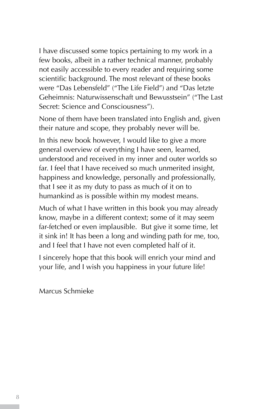I have discussed some topics pertaining to my work in a few books, albeit in a rather technical manner, probably not easily accessible to every reader and requiring some scientific background. The most relevant of these books were "Das Lebensfeld" ("The Life Field") and "Das letzte Geheimnis: Naturwissenschaft und Bewusstsein" ("The Last Secret: Science and Consciousness").

None of them have been translated into English and, given their nature and scope, they probably never will be.

In this new book however, I would like to give a more general overview of everything I have seen, learned, understood and received in my inner and outer worlds so far. I feel that I have received so much unmerited insight, happiness and knowledge, personally and professionally, that I see it as my duty to pass as much of it on to humankind as is possible within my modest means.

Much of what I have written in this book you may already know, maybe in a different context; some of it may seem far-fetched or even implausible. But give it some time, let it sink in! It has been a long and winding path for me, too, and I feel that I have not even completed half of it.

I sincerely hope that this book will enrich your mind and your life, and I wish you happiness in your future life!

Marcus Schmieke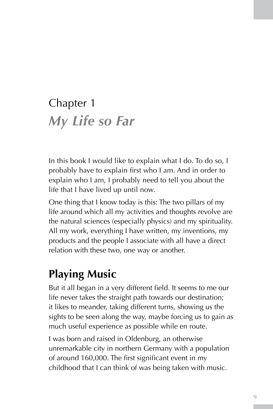## Chapter 1 *My Life so Far*

In this book I would like to explain what I do. To do so, I probably have to explain first who I am. And in order to explain who I am, I probably need to tell you about the life that I have lived up until now.

One thing that I know today is this: The two pillars of my life around which all my activities and thoughts revolve are the natural sciences (especially physics) and my spirituality. All my work, everything I have written, my inventions, my products and the people I associate with all have a direct relation with these two, one way or another.

### **Playing Music**

But it all began in a very different field. It seems to me our life never takes the straight path towards our destination; it likes to meander, taking different turns, showing us the sights to be seen along the way, maybe forcing us to gain as much useful experience as possible while en route.

I was born and raised in Oldenburg, an otherwise unremarkable city in northern Germany with a population of around 160,000. The first significant event in my childhood that I can think of was being taken with music.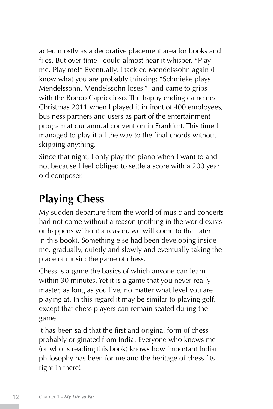acted mostly as a decorative placement area for books and files. But over time I could almost hear it whisper. "Play me. Play me!" Eventually, I tackled Mendelssohn again (I know what you are probably thinking: "Schmieke plays Mendelssohn. Mendelssohn loses.") and came to grips with the Rondo Capriccioso. The happy ending came near Christmas 2011 when I played it in front of 400 employees, business partners and users as part of the entertainment program at our annual convention in Frankfurt. This time I managed to play it all the way to the final chords without skipping anything.

Since that night, I only play the piano when I want to and not because I feel obliged to settle a score with a 200 year old composer.

#### **Playing Chess**

My sudden departure from the world of music and concerts had not come without a reason (nothing in the world exists or happens without a reason, we will come to that later in this book). Something else had been developing inside me, gradually, quietly and slowly and eventually taking the place of music: the game of chess.

Chess is a game the basics of which anyone can learn within 30 minutes. Yet it is a game that you never really master, as long as you live, no matter what level you are playing at. In this regard it may be similar to playing golf, except that chess players can remain seated during the game.

It has been said that the first and original form of chess probably originated from India. Everyone who knows me (or who is reading this book) knows how important Indian philosophy has been for me and the heritage of chess fits right in there!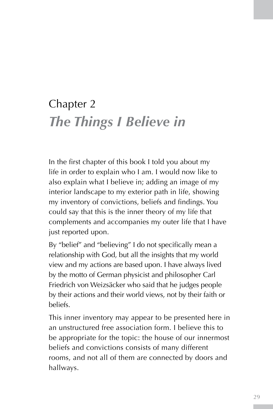## Chapter 2 *The Things I Believe in*

In the first chapter of this book I told you about my life in order to explain who I am. I would now like to also explain what I believe in; adding an image of my interior landscape to my exterior path in life, showing my inventory of convictions, beliefs and findings. You could say that this is the inner theory of my life that complements and accompanies my outer life that I have just reported upon.

By "belief" and "believing" I do not specifically mean a relationship with God, but all the insights that my world view and my actions are based upon. I have always lived by the motto of German physicist and philosopher Carl Friedrich von Weizsäcker who said that he judges people by their actions and their world views, not by their faith or beliefs.

This inner inventory may appear to be presented here in an unstructured free association form. I believe this to be appropriate for the topic: the house of our innermost beliefs and convictions consists of many different rooms, and not all of them are connected by doors and hallways.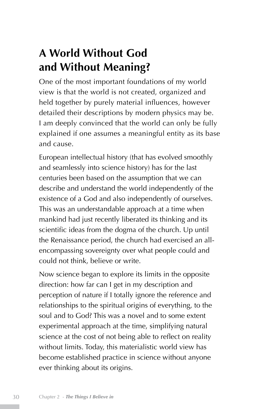#### **A World Without God and Without Meaning?**

One of the most important foundations of my world view is that the world is not created, organized and held together by purely material influences, however detailed their descriptions by modern physics may be. I am deeply convinced that the world can only be fully explained if one assumes a meaningful entity as its base and cause.

European intellectual history (that has evolved smoothly and seamlessly into science history) has for the last centuries been based on the assumption that we can describe and understand the world independently of the existence of a God and also independently of ourselves. This was an understandable approach at a time when mankind had just recently liberated its thinking and its scientific ideas from the dogma of the church. Up until the Renaissance period, the church had exercised an allencompassing sovereignty over what people could and could not think, believe or write.

Now science began to explore its limits in the opposite direction: how far can I get in my description and perception of nature if I totally ignore the reference and relationships to the spiritual origins of everything, to the soul and to God? This was a novel and to some extent experimental approach at the time, simplifying natural science at the cost of not being able to reflect on reality without limits. Today, this materialistic world view has become established practice in science without anyone ever thinking about its origins.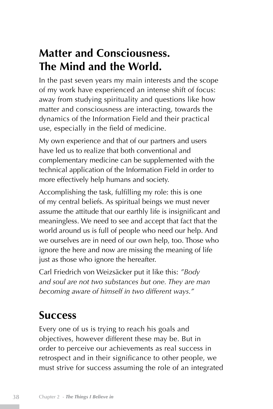#### **Matter and Consciousness. The Mind and the World.**

In the past seven years my main interests and the scope of my work have experienced an intense shift of focus: away from studying spirituality and questions like how matter and consciousness are interacting, towards the dynamics of the Information Field and their practical use, especially in the field of medicine.

My own experience and that of our partners and users have led us to realize that both conventional and complementary medicine can be supplemented with the technical application of the Information Field in order to more effectively help humans and society.

Accomplishing the task, fulfilling my role: this is one of my central beliefs. As spiritual beings we must never assume the attitude that our earthly life is insignificant and meaningless. We need to see and accept that fact that the world around us is full of people who need our help. And we ourselves are in need of our own help, too. Those who ignore the here and now are missing the meaning of life just as those who ignore the hereafter.

Carl Friedrich von Weizsäcker put it like this: *"Body and soul are not two substances but one. They are man becoming aware of himself in two different ways."*

### **Success**

Every one of us is trying to reach his goals and objectives, however different these may be. But in order to perceive our achievements as real success in retrospect and in their significance to other people, we must strive for success assuming the role of an integrated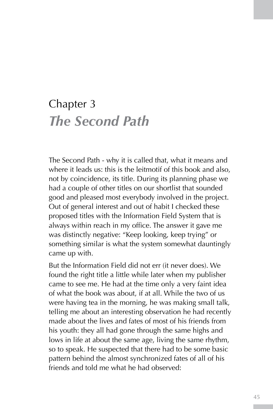## Chapter 3 *The Second Path*

The Second Path - why it is called that, what it means and where it leads us: this is the leitmotif of this book and also, not by coincidence, its title. During its planning phase we had a couple of other titles on our shortlist that sounded good and pleased most everybody involved in the project. Out of general interest and out of habit I checked these proposed titles with the Information Field System that is always within reach in my office. The answer it gave me was distinctly negative: "Keep looking, keep trying" or something similar is what the system somewhat dauntingly came up with.

But the Information Field did not err (it never does). We found the right title a little while later when my publisher came to see me. He had at the time only a very faint idea of what the book was about, if at all. While the two of us were having tea in the morning, he was making small talk, telling me about an interesting observation he had recently made about the lives and fates of most of his friends from his youth: they all had gone through the same highs and lows in life at about the same age, living the same rhythm, so to speak. He suspected that there had to be some basic pattern behind the almost synchronized fates of all of his friends and told me what he had observed: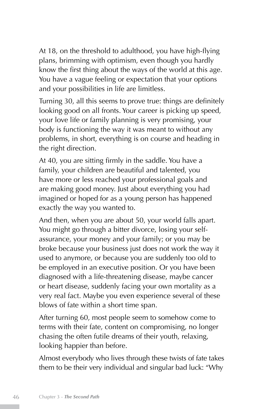At 18, on the threshold to adulthood, you have high-flying plans, brimming with optimism, even though you hardly know the first thing about the ways of the world at this age. You have a vague feeling or expectation that your options and your possibilities in life are limitless.

Turning 30, all this seems to prove true: things are definitely looking good on all fronts. Your career is picking up speed, your love life or family planning is very promising, your body is functioning the way it was meant to without any problems, in short, everything is on course and heading in the right direction.

At 40, you are sitting firmly in the saddle. You have a family, your children are beautiful and talented, you have more or less reached your professional goals and are making good money. Just about everything you had imagined or hoped for as a young person has happened exactly the way you wanted to.

And then, when you are about 50, your world falls apart. You might go through a bitter divorce, losing your selfassurance, your money and your family; or you may be broke because your business just does not work the way it used to anymore, or because you are suddenly too old to be employed in an executive position. Or you have been diagnosed with a life-threatening disease, maybe cancer or heart disease, suddenly facing your own mortality as a very real fact. Maybe you even experience several of these blows of fate within a short time span.

After turning 60, most people seem to somehow come to terms with their fate, content on compromising, no longer chasing the often futile dreams of their youth, relaxing, looking happier than before.

Almost everybody who lives through these twists of fate takes them to be their very individual and singular bad luck: "Why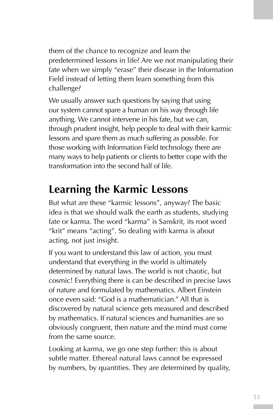them of the chance to recognize and learn the predetermined lessons in life? Are we not manipulating their fate when we simply "erase" their disease in the Information Field instead of letting them learn something from this challenge?

We usually answer such questions by saying that using our system cannot spare a human on his way through life anything. We cannot intervene in his fate, but we can, through prudent insight, help people to deal with their karmic lessons and spare them as much suffering as possible. For those working with Information Field technology there are many ways to help patients or clients to better cope with the transformation into the second half of life.

#### **Learning the Karmic Lessons**

But what are these "karmic lessons", anyway? The basic idea is that we should walk the earth as students, studying fate or karma. The word "karma" is Sanskrit, its root word "krit" means "acting". So dealing with karma is about acting, not just insight.

If you want to understand this law of action, you must understand that everything in the world is ultimately determined by natural laws. The world is not chaotic, but cosmic! Everything there is can be described in precise laws of nature and formulated by mathematics. Albert Einstein once even said: "God is a mathematician." All that is discovered by natural science gets measured and described by mathematics. If natural sciences and humanities are so obviously congruent, then nature and the mind must come from the same source.

Looking at karma, we go one step further: this is about subtle matter. Ethereal natural laws cannot be expressed by numbers, by quantities. They are determined by quality,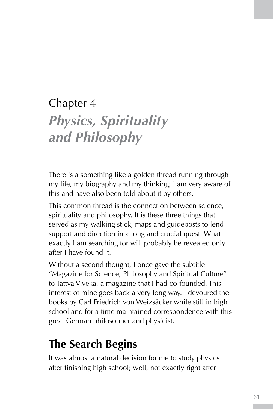## Chapter 4 *Physics, Spirituality and Philosophy*

There is a something like a golden thread running through my life, my biography and my thinking; I am very aware of this and have also been told about it by others.

This common thread is the connection between science, spirituality and philosophy. It is these three things that served as my walking stick, maps and guideposts to lend support and direction in a long and crucial quest. What exactly I am searching for will probably be revealed only after I have found it.

Without a second thought, I once gave the subtitle "Magazine for Science, Philosophy and Spiritual Culture" to Tattva Viveka, a magazine that I had co-founded. This interest of mine goes back a very long way. I devoured the books by Carl Friedrich von Weizsäcker while still in high school and for a time maintained correspondence with this great German philosopher and physicist.

#### **The Search Begins**

It was almost a natural decision for me to study physics after finishing high school; well, not exactly right after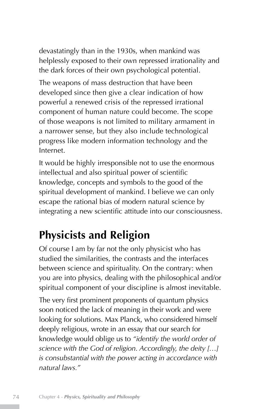devastatingly than in the 1930s, when mankind was helplessly exposed to their own repressed irrationality and the dark forces of their own psychological potential.

The weapons of mass destruction that have been developed since then give a clear indication of how powerful a renewed crisis of the repressed irrational component of human nature could become. The scope of those weapons is not limited to military armament in a narrower sense, but they also include technological progress like modern information technology and the Internet.

It would be highly irresponsible not to use the enormous intellectual and also spiritual power of scientific knowledge, concepts and symbols to the good of the spiritual development of mankind. I believe we can only escape the rational bias of modern natural science by integrating a new scientific attitude into our consciousness.

### **Physicists and Religion**

Of course I am by far not the only physicist who has studied the similarities, the contrasts and the interfaces between science and spirituality. On the contrary: when you are into physics, dealing with the philosophical and/or spiritual component of your discipline is almost inevitable.

The very first prominent proponents of quantum physics soon noticed the lack of meaning in their work and were looking for solutions. Max Planck, who considered himself deeply religious, wrote in an essay that our search for knowledge would oblige us to *"identify the world order of science with the God of religion. Accordingly, the deity […] is consubstantial with the power acting in accordance with natural laws."*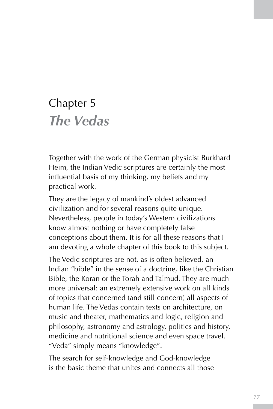## Chapter 5 *The Vedas*

Together with the work of the German physicist Burkhard Heim, the Indian Vedic scriptures are certainly the most influential basis of my thinking, my beliefs and my practical work.

They are the legacy of mankind's oldest advanced civilization and for several reasons quite unique. Nevertheless, people in today's Western civilizations know almost nothing or have completely false conceptions about them. It is for all these reasons that I am devoting a whole chapter of this book to this subject.

The Vedic scriptures are not, as is often believed, an Indian "bible" in the sense of a doctrine, like the Christian Bible, the Koran or the Torah and Talmud. They are much more universal: an extremely extensive work on all kinds of topics that concerned (and still concern) all aspects of human life. The Vedas contain texts on architecture, on music and theater, mathematics and logic, religion and philosophy, astronomy and astrology, politics and history, medicine and nutritional science and even space travel. "Veda" simply means "knowledge".

The search for self-knowledge and God-knowledge is the basic theme that unites and connects all those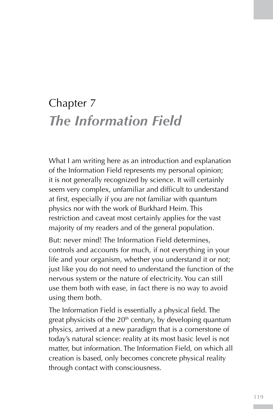## Chapter 7 *The Information Field*

What I am writing here as an introduction and explanation of the Information Field represents my personal opinion; it is not generally recognized by science. It will certainly seem very complex, unfamiliar and difficult to understand at first, especially if you are not familiar with quantum physics nor with the work of Burkhard Heim. This restriction and caveat most certainly applies for the vast majority of my readers and of the general population.

But: never mind! The Information Field determines, controls and accounts for much, if not everything in your life and your organism, whether you understand it or not; just like you do not need to understand the function of the nervous system or the nature of electricity. You can still use them both with ease, in fact there is no way to avoid using them both.

The Information Field is essentially a physical field. The great physicists of the  $20<sup>th</sup>$  century, by developing quantum physics, arrived at a new paradigm that is a cornerstone of today's natural science: reality at its most basic level is not matter, but information. The Information Field, on which all creation is based, only becomes concrete physical reality through contact with consciousness.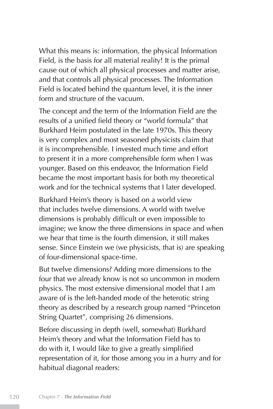What this means is: information, the physical Information Field, is the basis for all material reality! It is the primal cause out of which all physical processes and matter arise, and that controls all physical processes. The Information Field is located behind the quantum level, it is the inner form and structure of the vacuum.

The concept and the term of the Information Field are the results of a unified field theory or "world formula" that Burkhard Heim postulated in the late 1970s. This theory is very complex and most seasoned physicists claim that it is incomprehensible. I invested much time and effort to present it in a more comprehensible form when I was younger. Based on this endeavor, the Information Field became the most important basis for both my theoretical work and for the technical systems that I later developed.

Burkhard Heim's theory is based on a world view that includes twelve dimensions. A world with twelve dimensions is probably difficult or even impossible to imagine; we know the three dimensions in space and when we hear that time is the fourth dimension, it still makes sense. Since Einstein we (we physicists, that is) are speaking of four-dimensional space-time.

But twelve dimensions? Adding more dimensions to the four that we already know is not so uncommon in modern physics. The most extensive dimensional model that I am aware of is the left-handed mode of the heterotic string theory as described by a research group named "Princeton String Quartet", comprising 26 dimensions.

Before discussing in depth (well, somewhat) Burkhard Heim's theory and what the Information Field has to do with it, I would like to give a greatly simplified representation of it, for those among you in a hurry and for habitual diagonal readers: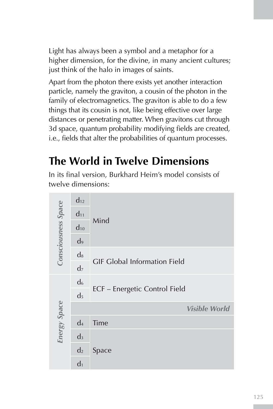Light has always been a symbol and a metaphor for a higher dimension, for the divine, in many ancient cultures; just think of the halo in images of saints.

Apart from the photon there exists yet another interaction particle, namely the graviton, a cousin of the photon in the family of electromagnetics. The graviton is able to do a few things that its cousin is not, like being effective over large distances or penetrating matter. When gravitons cut through 3d space, quantum probability modifying fields are created, i.e., fields that alter the probabilities of quantum processes.

### **The World in Twelve Dimensions**

In its final version, Burkhard Heim's model consists of twelve dimensions:

|                     | $d_{12}$       |                                     |  |
|---------------------|----------------|-------------------------------------|--|
|                     | $d_{11}$       | Mind                                |  |
| Consciousness Space | $d_{10}$       |                                     |  |
|                     | $\mathbf{d}_9$ |                                     |  |
|                     | $d_8$          |                                     |  |
|                     | d <sub>7</sub> | <b>GIF Global Information Field</b> |  |
|                     | d <sub>6</sub> |                                     |  |
|                     | d <sub>5</sub> | ECF - Energetic Control Field       |  |
| Energy Space        |                | <b>Visible World</b>                |  |
|                     | $d_4$          | Time                                |  |
|                     | $d_3$          |                                     |  |
|                     | d <sub>2</sub> | Space                               |  |
|                     | d <sub>1</sub> |                                     |  |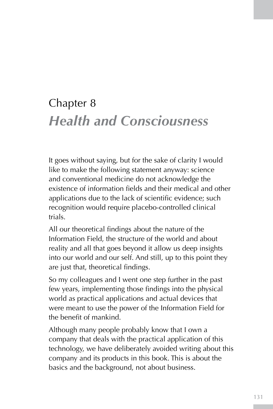## Chapter 8 *Health and Consciousness*

It goes without saying, but for the sake of clarity I would like to make the following statement anyway: science and conventional medicine do not acknowledge the existence of information fields and their medical and other applications due to the lack of scientific evidence; such recognition would require placebo-controlled clinical trials.

All our theoretical findings about the nature of the Information Field, the structure of the world and about reality and all that goes beyond it allow us deep insights into our world and our self. And still, up to this point they are just that, theoretical findings.

So my colleagues and I went one step further in the past few years, implementing those findings into the physical world as practical applications and actual devices that were meant to use the power of the Information Field for the benefit of mankind.

Although many people probably know that I own a company that deals with the practical application of this technology, we have deliberately avoided writing about this company and its products in this book. This is about the basics and the background, not about business.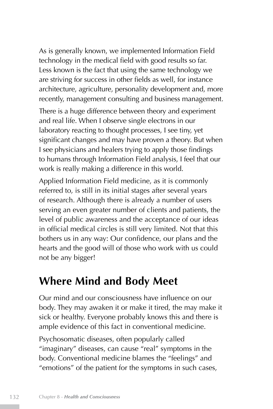As is generally known, we implemented Information Field technology in the medical field with good results so far. Less known is the fact that using the same technology we are striving for success in other fields as well, for instance architecture, agriculture, personality development and, more recently, management consulting and business management.

There is a huge difference between theory and experiment and real life. When I observe single electrons in our laboratory reacting to thought processes, I see tiny, yet significant changes and may have proven a theory. But when I see physicians and healers trying to apply those findings to humans through Information Field analysis, I feel that our work is really making a difference in this world.

Applied Information Field medicine, as it is commonly referred to, is still in its initial stages after several years of research. Although there is already a number of users serving an even greater number of clients and patients, the level of public awareness and the acceptance of our ideas in official medical circles is still very limited. Not that this bothers us in any way: Our confidence, our plans and the hearts and the good will of those who work with us could not be any bigger!

#### **Where Mind and Body Meet**

Our mind and our consciousness have influence on our body. They may awaken it or make it tired, the may make it sick or healthy. Everyone probably knows this and there is ample evidence of this fact in conventional medicine.

Psychosomatic diseases, often popularly called "imaginary" diseases, can cause "real" symptoms in the body. Conventional medicine blames the "feelings" and "emotions" of the patient for the symptoms in such cases,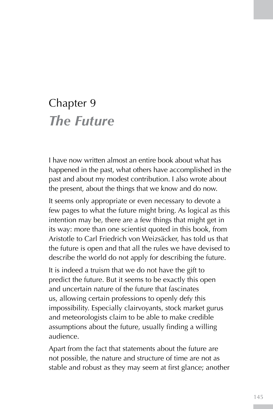## Chapter 9 *The Future*

I have now written almost an entire book about what has happened in the past, what others have accomplished in the past and about my modest contribution. I also wrote about the present, about the things that we know and do now.

It seems only appropriate or even necessary to devote a few pages to what the future might bring. As logical as this intention may be, there are a few things that might get in its way: more than one scientist quoted in this book, from Aristotle to Carl Friedrich von Weizsäcker, has told us that the future is open and that all the rules we have devised to describe the world do not apply for describing the future.

It is indeed a truism that we do not have the gift to predict the future. But it seems to be exactly this open and uncertain nature of the future that fascinates us, allowing certain professions to openly defy this impossibility. Especially clairvoyants, stock market gurus and meteorologists claim to be able to make credible assumptions about the future, usually finding a willing audience.

Apart from the fact that statements about the future are not possible, the nature and structure of time are not as stable and robust as they may seem at first glance; another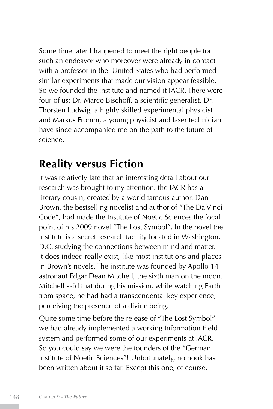Some time later I happened to meet the right people for such an endeavor who moreover were already in contact with a professor in the United States who had performed similar experiments that made our vision appear feasible. So we founded the institute and named it IACR. There were four of us: Dr. Marco Bischoff, a scientific generalist, Dr. Thorsten Ludwig, a highly skilled experimental physicist and Markus Fromm, a young physicist and laser technician have since accompanied me on the path to the future of science.

#### **Reality versus Fiction**

It was relatively late that an interesting detail about our research was brought to my attention: the IACR has a literary cousin, created by a world famous author. Dan Brown, the bestselling novelist and author of "The Da Vinci Code", had made the Institute of Noetic Sciences the focal point of his 2009 novel "The Lost Symbol". In the novel the institute is a secret research facility located in Washington, D.C. studying the connections between mind and matter. It does indeed really exist, like most institutions and places in Brown's novels. The institute was founded by Apollo 14 astronaut Edgar Dean Mitchell, the sixth man on the moon. Mitchell said that during his mission, while watching Earth from space, he had had a transcendental key experience, perceiving the presence of a divine being.

Quite some time before the release of "The Lost Symbol" we had already implemented a working Information Field system and performed some of our experiments at IACR. So you could say we were the founders of the "German Institute of Noetic Sciences"! Unfortunately, no book has been written about it so far. Except this one, of course.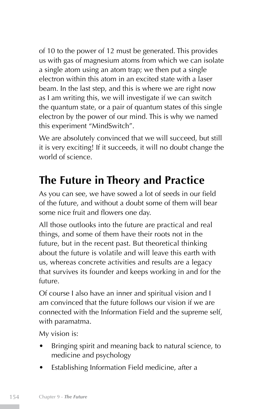of 10 to the power of 12 must be generated. This provides us with gas of magnesium atoms from which we can isolate a single atom using an atom trap; we then put a single electron within this atom in an excited state with a laser beam. In the last step, and this is where we are right now as I am writing this, we will investigate if we can switch the quantum state, or a pair of quantum states of this single electron by the power of our mind. This is why we named this experiment "MindSwitch".

We are absolutely convinced that we will succeed, but still it is very exciting! If it succeeds, it will no doubt change the world of science.

#### **The Future in Theory and Practice**

As you can see, we have sowed a lot of seeds in our field of the future, and without a doubt some of them will bear some nice fruit and flowers one day.

All those outlooks into the future are practical and real things, and some of them have their roots not in the future, but in the recent past. But theoretical thinking about the future is volatile and will leave this earth with us, whereas concrete activities and results are a legacy that survives its founder and keeps working in and for the future.

Of course I also have an inner and spiritual vision and I am convinced that the future follows our vision if we are connected with the Information Field and the supreme self, with paramatma.

My vision is:

- Bringing spirit and meaning back to natural science, to medicine and psychology
- Establishing Information Field medicine, after a